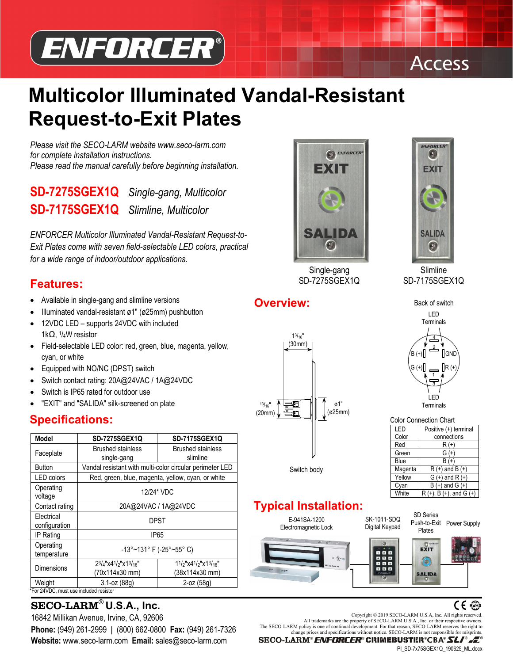



# **Multicolor Illuminated Vandal-Resistant Request-to-Exit Plates**

*Please visit the SECO-LARM website www.seco-larm.com for complete installation instructions. Please read the manual carefully before beginning installation.* 

# **SD-7275SGEX1Q** *Single-gang, Multicolor*  **SD-7175SGEX1Q** *Slimline, Multicolor*

*ENFORCER Multicolor Illuminated Vandal-Resistant Request-to-Exit Plates come with seven field-selectable LED colors, practical for a wide range of indoor/outdoor applications.* 

## **Features:**

- Available in single-gang and slimline versions
- Illuminated vandal-resistant ø1" (ø25mm) pushbutton
- 12VDC LED supports 24VDC with included 1kΩ, 1/4W resistor
- Field-selectable LED color: red, green, blue, magenta, yellow, cyan, or white
- Equipped with NO/NC (DPST) switch
- Switch contact rating: 20A@24VAC / 1A@24VDC
- Switch is IP65 rated for outdoor use
- "EXIT" and "SALIDA" silk-screened on plate

# **Specifications:**

| <b>Model</b>                | <b>SD-7275SGEX1Q</b>                                                                 | <b>SD-7175SGEX1Q</b>                            |
|-----------------------------|--------------------------------------------------------------------------------------|-------------------------------------------------|
| Faceplate                   | <b>Brushed stainless</b><br>single-gang                                              | <b>Brushed stainless</b><br>slimline            |
| <b>Button</b>               | Vandal resistant with multi-color circular perimeter LED                             |                                                 |
| <b>LED</b> colors           | Red, green, blue, magenta, yellow, cyan, or white                                    |                                                 |
| Operating<br>voltage        | 12/24* VDC                                                                           |                                                 |
| Contact rating              | 20A@24VAC / 1A@24VDC                                                                 |                                                 |
| Electrical<br>configuration | DPST                                                                                 |                                                 |
| IP Rating                   | IP <sub>65</sub>                                                                     |                                                 |
| Operating<br>temperature    | -13°~131° F (-25°~55° C)                                                             |                                                 |
| <b>Dimensions</b>           | $2^{3}/_{4}$ "x4 <sup>1</sup> /2"x1 <sup>3</sup> / <sub>16</sub> "<br>(70x114x30 mm) | $11/2$ "x4 $1/2$ "x1 $3/16$ "<br>(38x114x30 mm) |
| Weight                      | $3.1 - oz (88q)$                                                                     | $2$ -oz $(58q)$                                 |

\*For 24VDC, must use included resistor

# SECO-LARM<sup>®</sup> U.S.A., Inc.<br> **SECO-LARM<sup>®</sup> U.S.A., Inc.**<br>
<sup>2006</sup> Copyright © 2019 SECO-LARM U.S.A, Inc. All rights reserved.

**Website:** www.seco-larm.com **Email:** sales@seco-larm.com



Single-gang SD-7275SGEX1Q



Slimline SD-7175SGEX1Q



| <b>Color Connection Chart</b> |                                 |  |  |
|-------------------------------|---------------------------------|--|--|
| LED                           | Positive (+) terminal           |  |  |
| Color                         | connections                     |  |  |
| Red                           | $R(+)$                          |  |  |
| Green                         | $G (+)$                         |  |  |
| Blue                          | $B (+)$                         |  |  |
| Magenta                       | $R (+)$ and B $(+)$             |  |  |
| Yellow                        | $G (+)$ and R $ (+)$            |  |  |
| Cyan                          | $B (+)$ and $G (+)$             |  |  |
| White                         | $R (+)$ , B $(+)$ , and G $(+)$ |  |  |

# **Typical Installation:**



16842 Millikan Avenue, Irvine, CA, 92606 Copyright © 2019 SECO-LARM U.S.A, Inc. All rights reserved.<br>All trademarks are the property of SECO-LARM U.S.A., Inc. or their respective owners. **Phone:** (949) 261-2999 | (800) 662-0800 **Fax:** (949) 261-7326<br>change prices and specifications without notice. SECO-LARM is not responsible for misprints.

SECO-LARM® ENFORCER® CRIMEBUSTER®CBA® SLI® .E

PI\_SD-7x75SGEX1Q\_190625\_ML.docx



**Overview:**